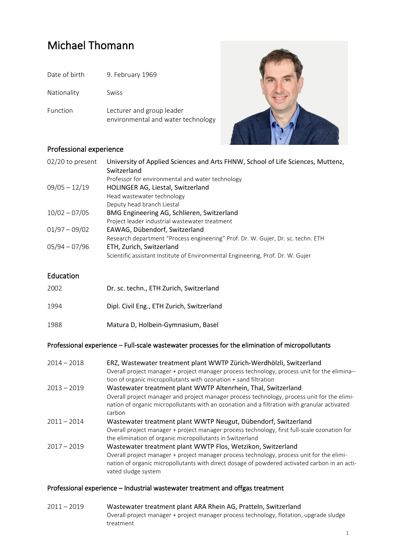# Michael Thomann

| Date of birth | 9. February 1969                                                |
|---------------|-----------------------------------------------------------------|
| Nationality   | Swiss                                                           |
| Function      | Lecturer and group leader<br>environmental and water technology |



## Professional experience

| 02/20 to present | University of Applied Sciences and Arts FHNW, School of Life Sciences, Muttenz,<br>Switzerland |
|------------------|------------------------------------------------------------------------------------------------|
|                  | Professor for environmental and water technology                                               |
| $09/05 - 12/19$  | HOLINGER AG, Liestal, Switzerland                                                              |
|                  | Head wastewater technology                                                                     |
|                  | Deputy head branch Liestal                                                                     |
| $10/02 - 07/05$  | BMG Engineering AG, Schlieren, Switzerland                                                     |
|                  | Project leader industrial wastewater treatment                                                 |
| $01/97 - 09/02$  | EAWAG, Dübendorf, Switzerland                                                                  |
|                  | Research department "Process engineering" Prof. Dr. W. Gujer, Dr. sc. techn. ETH               |
| $05/94 - 07/96$  | ETH, Zurich, Switzerland                                                                       |
|                  | Scientific assistant Institute of Environmental Engineering, Prof. Dr. W. Gujer                |

### Education

| 2002 | Dr. sc. techn., ETH Zurich, Switzerland   |
|------|-------------------------------------------|
| 1994 | Dipl. Civil Eng., ETH Zurich, Switzerland |
| 1988 | Matura D, Holbein-Gymnasium, Basel        |

#### Professional experience – Full-scale wastewater processes for the elimination of micropollutants

| $2014 - 2018$ | ERZ, Wastewater treatment plant WWTP Zürich-Werdhölzli, Switzerland<br>Overall project manager + project manager process technology, process unit for the elimina--<br>tion of organic micropollutants with ozonation + sand filtration                                          |
|---------------|----------------------------------------------------------------------------------------------------------------------------------------------------------------------------------------------------------------------------------------------------------------------------------|
| $2013 - 2019$ | Wastewater treatment plant WWTP Altenrhein, Thal, Switzerland<br>Overall project manager and project manager process technology, process unit for the elimi-<br>nation of organic micropollutants with an ozonation and a filtration with granular activated<br>carbon           |
| $2011 - 2014$ | Wastewater treatment plant WWTP Neugut, Dübendorf, Switzerland<br>Overall project manager + project manager process technology, first full-scale ozonation for<br>the elimination of organic micropollutants in Switzerland                                                      |
| $2017 - 2019$ | Wastewater treatment plant WWTP Flos, Wetzikon, Switzerland<br>Overall project manager + project manager process technology, process unit for the elimi-<br>nation of organic micropollutants with direct dosage of powdered activated carbon in an acti-<br>vated sludge system |

#### Professional experience – Industrial wastewater treatment and offgas treatment

2011 – 2019 Wastewater treatment plant ARA Rhein AG, Pratteln, Switzerland Overall project manager + project manager process technology, flotation, upgrade sludge treatment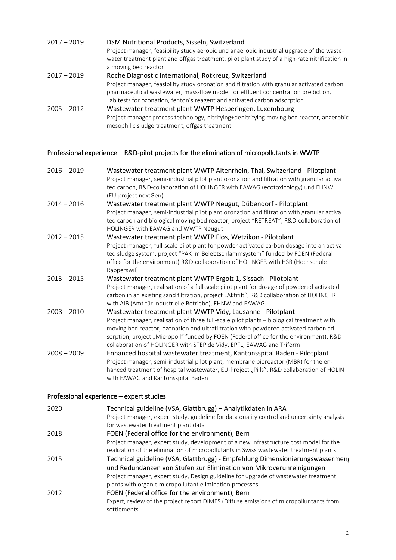| $2017 - 2019$ | DSM Nutritional Products, Sisseln, Switzerland                                                                                                                                             |
|---------------|--------------------------------------------------------------------------------------------------------------------------------------------------------------------------------------------|
|               | Project manager, feasibility study aerobic und anaerobic industrial upgrade of the waste-<br>water treatment plant and offgas treatment, pilot plant study of a high-rate nitrification in |
|               | a moving bed reactor                                                                                                                                                                       |
| $2017 - 2019$ | Roche Diagnostic International, Rotkreuz, Switzerland                                                                                                                                      |
|               | Project manager, feasibility study ozonation and filtration with granular activated carbon                                                                                                 |
|               | pharmaceutical wastewater, mass-flow model for effluent concentration prediction,                                                                                                          |
|               | lab tests for ozonation, fenton's reagent and activated carbon adsorption                                                                                                                  |
| $2005 - 2012$ | Wastewater treatment plant WWTP Hesperingen, Luxembourg                                                                                                                                    |
|               | Project manager process technology, nitrifying+denitrifying moving bed reactor, anaerobic<br>mesophilic sludge treatment, offgas treatment                                                 |
|               |                                                                                                                                                                                            |

## Professional experience – R&D-pilot projects for the elimination of micropollutants in WWTP

| $2016 - 2019$ | Wastewater treatment plant WWTP Altenrhein, Thal, Switzerland - Pilotplant                 |
|---------------|--------------------------------------------------------------------------------------------|
|               | Project manager, semi-industrial pilot plant ozonation and filtration with granular activa |
|               | ted carbon, R&D-collaboration of HOLINGER with EAWAG (ecotoxicology) und FHNW              |
|               | (EU-project nextGen)                                                                       |
| $2014 - 2016$ | Wastewater treatment plant WWTP Neugut, Dübendorf - Pilotplant                             |
|               | Project manager, semi-industrial pilot plant ozonation and filtration with granular activa |
|               | ted carbon and biological moving bed reactor, project "RETREAT", R&D-collaboration of      |
|               | HOLINGER with EAWAG and WWTP Neugut                                                        |
| $2012 - 2015$ | Wastewater treatment plant WWTP Flos, Wetzikon - Pilotplant                                |
|               | Project manager, full-scale pilot plant for powder activated carbon dosage into an activa  |
|               | ted sludge system, project "PAK im Belebtschlammsystem" funded by FOEN (Federal            |
|               | office for the environment) R&D-collaboration of HOLINGER with HSR (Hochschule             |
|               | Rapperswil)                                                                                |
| $2013 - 2015$ | Wastewater treatment plant WWTP Ergolz 1, Sissach - Pilotplant                             |
|               | Project manager, realisation of a full-scale pilot plant for dosage of powdered activated  |
|               | carbon in an existing sand filtration, project "Aktifilt", R&D collaboration of HOLINGER   |
|               | with AIB (Amt für industrielle Betriebe), FHNW and EAWAG                                   |
| $2008 - 2010$ | Wastewater treatment plant WWTP Vidy, Lausanne - Pilotplant                                |
|               | Project manager, realisation of three full-scale pilot plants - biological treatment with  |
|               | moving bed reactor, ozonation and ultrafiltration with powdered activated carbon ad-       |
|               | sorption, project "Micropoll" funded by FOEN (Federal office for the environment), R&D     |
|               | collaboration of HOLINGER with STEP de Vidy, EPFL, EAWAG and Triform                       |
| $2008 - 2009$ | Enhanced hospital wastewater treatment, Kantonsspital Baden - Pilotplant                   |
|               | Project manager, semi-industrial pilot plant, membrane bioreactor (MBR) for the en-        |
|               | hanced treatment of hospital wastewater, EU-Project "Pills", R&D collaboration of HOLIN    |
|               | with EAWAG and Kantonsspital Baden                                                         |

#### Professional experience – expert studies

| 2020 | Technical guideline (VSA, Glattbrugg) - Analytikdaten in ARA                               |
|------|--------------------------------------------------------------------------------------------|
|      | Project manager, expert study, guideline for data quality control and uncertainty analysis |
|      | for wastewater treatment plant data                                                        |
| 2018 | FOEN (Federal office for the environment), Bern                                            |
|      | Project manager, expert study, development of a new infrastructure cost model for the      |
|      | realization of the elimination of micropollutants in Swiss wastewater treatment plants     |
| 2015 | Technical guideline (VSA, Glattbrugg) - Empfehlung Dimensionierungswassermeng              |
|      | und Redundanzen von Stufen zur Elimination von Mikroverunreinigungen                       |
|      | Project manager, expert study, Design guideline for upgrade of wastewater treatment        |
|      | plants with organic micropollutant elimination processes                                   |
| 2012 | FOEN (Federal office for the environment), Bern                                            |
|      | Expert, review of the project report DIMES (Diffuse emissions of micropolluntants from     |
|      | settlements                                                                                |